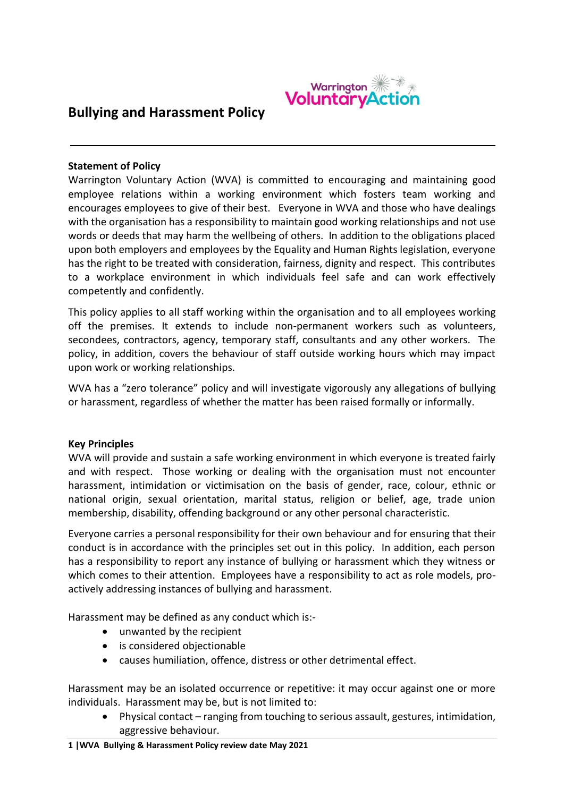

# **Bullying and Harassment Policy**

#### **Statement of Policy**

Warrington Voluntary Action (WVA) is committed to encouraging and maintaining good employee relations within a working environment which fosters team working and encourages employees to give of their best. Everyone in WVA and those who have dealings with the organisation has a responsibility to maintain good working relationships and not use words or deeds that may harm the wellbeing of others. In addition to the obligations placed upon both employers and employees by the Equality and Human Rights legislation, everyone has the right to be treated with consideration, fairness, dignity and respect. This contributes to a workplace environment in which individuals feel safe and can work effectively competently and confidently.

This policy applies to all staff working within the organisation and to all employees working off the premises. It extends to include non-permanent workers such as volunteers, secondees, contractors, agency, temporary staff, consultants and any other workers. The policy, in addition, covers the behaviour of staff outside working hours which may impact upon work or working relationships.

WVA has a "zero tolerance" policy and will investigate vigorously any allegations of bullying or harassment, regardless of whether the matter has been raised formally or informally.

#### **Key Principles**

WVA will provide and sustain a safe working environment in which everyone is treated fairly and with respect. Those working or dealing with the organisation must not encounter harassment, intimidation or victimisation on the basis of gender, race, colour, ethnic or national origin, sexual orientation, marital status, religion or belief, age, trade union membership, disability, offending background or any other personal characteristic.

Everyone carries a personal responsibility for their own behaviour and for ensuring that their conduct is in accordance with the principles set out in this policy. In addition, each person has a responsibility to report any instance of bullying or harassment which they witness or which comes to their attention. Employees have a responsibility to act as role models, proactively addressing instances of bullying and harassment.

Harassment may be defined as any conduct which is:-

- unwanted by the recipient
- is considered objectionable
- causes humiliation, offence, distress or other detrimental effect.

Harassment may be an isolated occurrence or repetitive: it may occur against one or more individuals. Harassment may be, but is not limited to:

 Physical contact – ranging from touching to serious assault, gestures, intimidation, aggressive behaviour.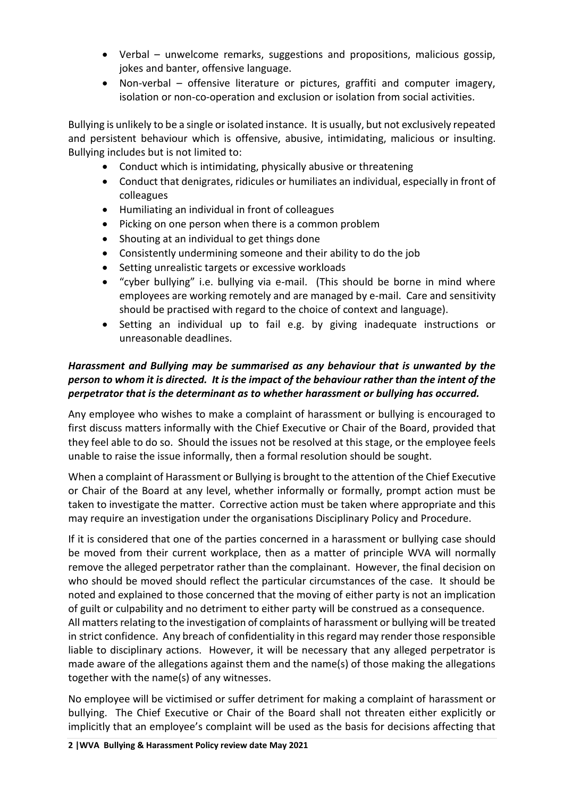- Verbal unwelcome remarks, suggestions and propositions, malicious gossip, jokes and banter, offensive language.
- Non-verbal offensive literature or pictures, graffiti and computer imagery, isolation or non-co-operation and exclusion or isolation from social activities.

Bullying is unlikely to be a single or isolated instance. It is usually, but not exclusively repeated and persistent behaviour which is offensive, abusive, intimidating, malicious or insulting. Bullying includes but is not limited to:

- Conduct which is intimidating, physically abusive or threatening
- Conduct that denigrates, ridicules or humiliates an individual, especially in front of colleagues
- Humiliating an individual in front of colleagues
- Picking on one person when there is a common problem
- Shouting at an individual to get things done
- Consistently undermining someone and their ability to do the job
- Setting unrealistic targets or excessive workloads
- "cyber bullying" i.e. bullying via e-mail. (This should be borne in mind where employees are working remotely and are managed by e-mail. Care and sensitivity should be practised with regard to the choice of context and language).
- Setting an individual up to fail e.g. by giving inadequate instructions or unreasonable deadlines.

## *Harassment and Bullying may be summarised as any behaviour that is unwanted by the person to whom it is directed. It is the impact of the behaviour rather than the intent of the perpetrator that is the determinant as to whether harassment or bullying has occurred.*

Any employee who wishes to make a complaint of harassment or bullying is encouraged to first discuss matters informally with the Chief Executive or Chair of the Board, provided that they feel able to do so. Should the issues not be resolved at this stage, or the employee feels unable to raise the issue informally, then a formal resolution should be sought.

When a complaint of Harassment or Bullying is brought to the attention of the Chief Executive or Chair of the Board at any level, whether informally or formally, prompt action must be taken to investigate the matter. Corrective action must be taken where appropriate and this may require an investigation under the organisations Disciplinary Policy and Procedure.

If it is considered that one of the parties concerned in a harassment or bullying case should be moved from their current workplace, then as a matter of principle WVA will normally remove the alleged perpetrator rather than the complainant. However, the final decision on who should be moved should reflect the particular circumstances of the case. It should be noted and explained to those concerned that the moving of either party is not an implication of guilt or culpability and no detriment to either party will be construed as a consequence. All matters relating to the investigation of complaints of harassment or bullying will be treated

in strict confidence. Any breach of confidentiality in this regard may render those responsible liable to disciplinary actions. However, it will be necessary that any alleged perpetrator is made aware of the allegations against them and the name(s) of those making the allegations together with the name(s) of any witnesses.

No employee will be victimised or suffer detriment for making a complaint of harassment or bullying. The Chief Executive or Chair of the Board shall not threaten either explicitly or implicitly that an employee's complaint will be used as the basis for decisions affecting that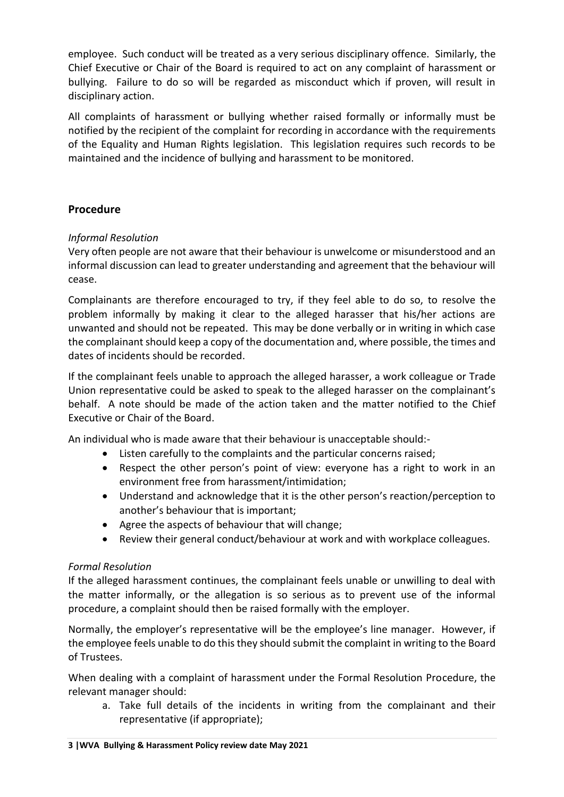employee. Such conduct will be treated as a very serious disciplinary offence. Similarly, the Chief Executive or Chair of the Board is required to act on any complaint of harassment or bullying. Failure to do so will be regarded as misconduct which if proven, will result in disciplinary action.

All complaints of harassment or bullying whether raised formally or informally must be notified by the recipient of the complaint for recording in accordance with the requirements of the Equality and Human Rights legislation. This legislation requires such records to be maintained and the incidence of bullying and harassment to be monitored.

## **Procedure**

## *Informal Resolution*

Very often people are not aware that their behaviour is unwelcome or misunderstood and an informal discussion can lead to greater understanding and agreement that the behaviour will cease.

Complainants are therefore encouraged to try, if they feel able to do so, to resolve the problem informally by making it clear to the alleged harasser that his/her actions are unwanted and should not be repeated. This may be done verbally or in writing in which case the complainant should keep a copy of the documentation and, where possible, the times and dates of incidents should be recorded.

If the complainant feels unable to approach the alleged harasser, a work colleague or Trade Union representative could be asked to speak to the alleged harasser on the complainant's behalf. A note should be made of the action taken and the matter notified to the Chief Executive or Chair of the Board.

An individual who is made aware that their behaviour is unacceptable should:-

- Listen carefully to the complaints and the particular concerns raised;
- Respect the other person's point of view: everyone has a right to work in an environment free from harassment/intimidation;
- Understand and acknowledge that it is the other person's reaction/perception to another's behaviour that is important;
- Agree the aspects of behaviour that will change;
- Review their general conduct/behaviour at work and with workplace colleagues.

### *Formal Resolution*

If the alleged harassment continues, the complainant feels unable or unwilling to deal with the matter informally, or the allegation is so serious as to prevent use of the informal procedure, a complaint should then be raised formally with the employer.

Normally, the employer's representative will be the employee's line manager. However, if the employee feels unable to do this they should submit the complaint in writing to the Board of Trustees.

When dealing with a complaint of harassment under the Formal Resolution Procedure, the relevant manager should:

a. Take full details of the incidents in writing from the complainant and their representative (if appropriate);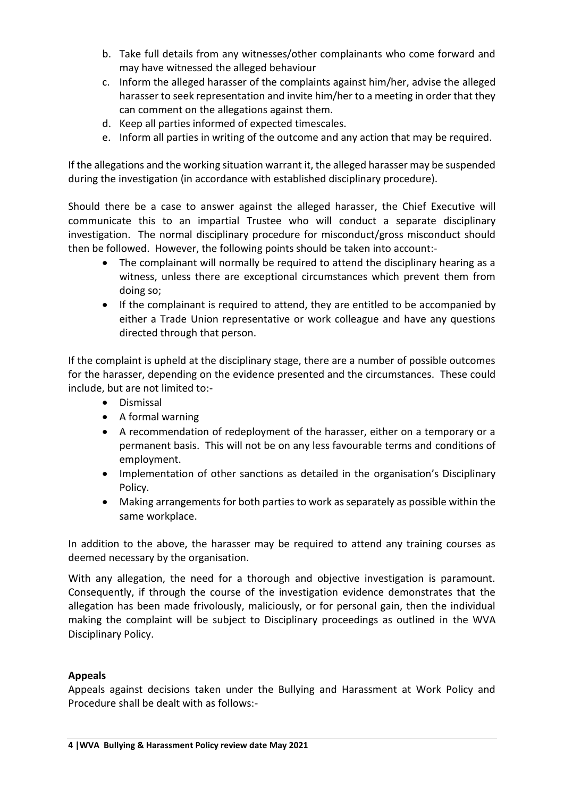- b. Take full details from any witnesses/other complainants who come forward and may have witnessed the alleged behaviour
- c. Inform the alleged harasser of the complaints against him/her, advise the alleged harasser to seek representation and invite him/her to a meeting in order that they can comment on the allegations against them.
- d. Keep all parties informed of expected timescales.
- e. Inform all parties in writing of the outcome and any action that may be required.

If the allegations and the working situation warrant it, the alleged harasser may be suspended during the investigation (in accordance with established disciplinary procedure).

Should there be a case to answer against the alleged harasser, the Chief Executive will communicate this to an impartial Trustee who will conduct a separate disciplinary investigation. The normal disciplinary procedure for misconduct/gross misconduct should then be followed. However, the following points should be taken into account:-

- The complainant will normally be required to attend the disciplinary hearing as a witness, unless there are exceptional circumstances which prevent them from doing so;
- If the complainant is required to attend, they are entitled to be accompanied by either a Trade Union representative or work colleague and have any questions directed through that person.

If the complaint is upheld at the disciplinary stage, there are a number of possible outcomes for the harasser, depending on the evidence presented and the circumstances. These could include, but are not limited to:-

- **•** Dismissal
- $\bullet$  A formal warning
- A recommendation of redeployment of the harasser, either on a temporary or a permanent basis. This will not be on any less favourable terms and conditions of employment.
- Implementation of other sanctions as detailed in the organisation's Disciplinary Policy.
- Making arrangements for both parties to work as separately as possible within the same workplace.

In addition to the above, the harasser may be required to attend any training courses as deemed necessary by the organisation.

With any allegation, the need for a thorough and objective investigation is paramount. Consequently, if through the course of the investigation evidence demonstrates that the allegation has been made frivolously, maliciously, or for personal gain, then the individual making the complaint will be subject to Disciplinary proceedings as outlined in the WVA Disciplinary Policy.

### **Appeals**

Appeals against decisions taken under the Bullying and Harassment at Work Policy and Procedure shall be dealt with as follows:-